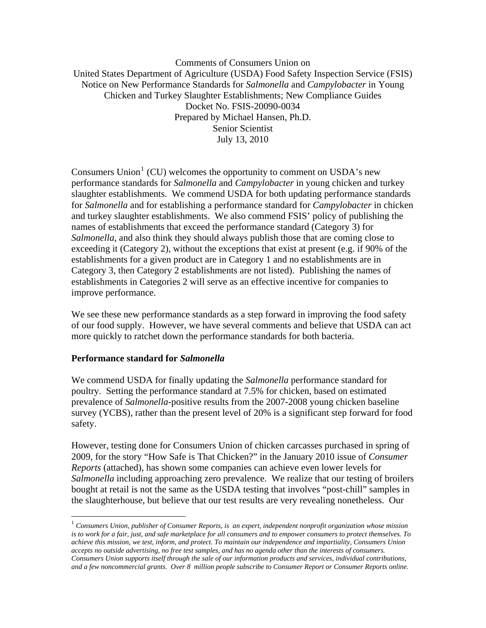Comments of Consumers Union on United States Department of Agriculture (USDA) Food Safety Inspection Service (FSIS) Notice on New Performance Standards for *Salmonella* and *Campylobacter* in Young Chicken and Turkey Slaughter Establishments; New Compliance Guides Docket No. FSIS-20090-0034 Prepared by Michael Hansen, Ph.D. Senior Scientist July 13, 2010

Consumers Union<sup>[1](#page-0-0)</sup> (CU) welcomes the opportunity to comment on USDA's new performance standards for *Salmonella* and *Campylobacter* in young chicken and turkey slaughter establishments. We commend USDA for both updating performance standards for *Salmonella* and for establishing a performance standard for *Campylobacter* in chicken and turkey slaughter establishments. We also commend FSIS' policy of publishing the names of establishments that exceed the performance standard (Category 3) for *Salmonella*, and also think they should always publish those that are coming close to exceeding it (Category 2), without the exceptions that exist at present (e.g. if 90% of the establishments for a given product are in Category 1 and no establishments are in Category 3, then Category 2 establishments are not listed). Publishing the names of establishments in Categories 2 will serve as an effective incentive for companies to improve performance.

We see these new performance standards as a step forward in improving the food safety of our food supply. However, we have several comments and believe that USDA can act more quickly to ratchet down the performance standards for both bacteria.

## **Performance standard for** *Salmonella*

<u>.</u>

We commend USDA for finally updating the *Salmonella* performance standard for poultry. Setting the performance standard at 7.5% for chicken, based on estimated prevalence of *Salmonella*-positive results from the 2007-2008 young chicken baseline survey (YCBS), rather than the present level of 20% is a significant step forward for food safety.

However, testing done for Consumers Union of chicken carcasses purchased in spring of 2009, for the story "How Safe is That Chicken?" in the January 2010 issue of *Consumer Reports* (attached), has shown some companies can achieve even lower levels for *Salmonella* including approaching zero prevalence. We realize that our testing of broilers bought at retail is not the same as the USDA testing that involves "post-chill" samples in the slaughterhouse, but believe that our test results are very revealing nonetheless. Our

<span id="page-0-0"></span><sup>1</sup> *Consumers Union, publisher of Consumer Reports, is an expert, independent nonprofit organization whose mission is to work for a fair, just, and safe marketplace for all consumers and to empower consumers to protect themselves. To achieve this mission, we test, inform, and protect. To maintain our independence and impartiality, Consumers Union accepts no outside advertising, no free test samples, and has no agenda other than the interests of consumers. Consumers Union supports itself through the sale of our information products and services, individual contributions, and a few noncommercial grants. Over 8 million people subscribe to Consumer Report or Consumer Reports online.*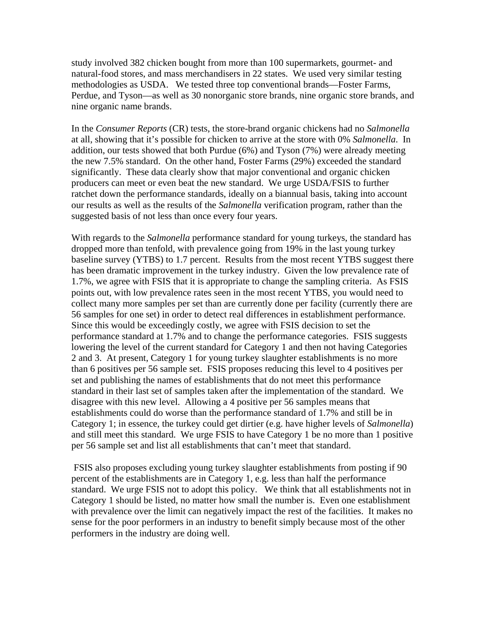study involved 382 chicken bought from more than 100 supermarkets, gourmet- and natural-food stores, and mass merchandisers in 22 states. We used very similar testing methodologies as USDA. We tested three top conventional brands—Foster Farms, Perdue, and Tyson—as well as 30 nonorganic store brands, nine organic store brands, and nine organic name brands.

In the *Consumer Reports* (CR) tests, the store-brand organic chickens had no *Salmonella* at all, showing that it's possible for chicken to arrive at the store with 0% *Salmonella*. In addition, our tests showed that both Purdue (6%) and Tyson (7%) were already meeting the new 7.5% standard. On the other hand, Foster Farms (29%) exceeded the standard significantly. These data clearly show that major conventional and organic chicken producers can meet or even beat the new standard. We urge USDA/FSIS to further ratchet down the performance standards, ideally on a biannual basis, taking into account our results as well as the results of the *Salmonella* verification program, rather than the suggested basis of not less than once every four years.

With regards to the *Salmonella* performance standard for young turkeys, the standard has dropped more than tenfold, with prevalence going from 19% in the last young turkey baseline survey (YTBS) to 1.7 percent. Results from the most recent YTBS suggest there has been dramatic improvement in the turkey industry. Given the low prevalence rate of 1.7%, we agree with FSIS that it is appropriate to change the sampling criteria. As FSIS points out, with low prevalence rates seen in the most recent YTBS, you would need to collect many more samples per set than are currently done per facility (currently there are 56 samples for one set) in order to detect real differences in establishment performance. Since this would be exceedingly costly, we agree with FSIS decision to set the performance standard at 1.7% and to change the performance categories. FSIS suggests lowering the level of the current standard for Category 1 and then not having Categories 2 and 3. At present, Category 1 for young turkey slaughter establishments is no more than 6 positives per 56 sample set. FSIS proposes reducing this level to 4 positives per set and publishing the names of establishments that do not meet this performance standard in their last set of samples taken after the implementation of the standard. We disagree with this new level. Allowing a 4 positive per 56 samples means that establishments could do worse than the performance standard of 1.7% and still be in Category 1; in essence, the turkey could get dirtier (e.g. have higher levels of *Salmonella*) and still meet this standard. We urge FSIS to have Category 1 be no more than 1 positive per 56 sample set and list all establishments that can't meet that standard.

 FSIS also proposes excluding young turkey slaughter establishments from posting if 90 percent of the establishments are in Category 1, e.g. less than half the performance standard. We urge FSIS not to adopt this policy. We think that all establishments not in Category 1 should be listed, no matter how small the number is. Even one establishment with prevalence over the limit can negatively impact the rest of the facilities. It makes no sense for the poor performers in an industry to benefit simply because most of the other performers in the industry are doing well.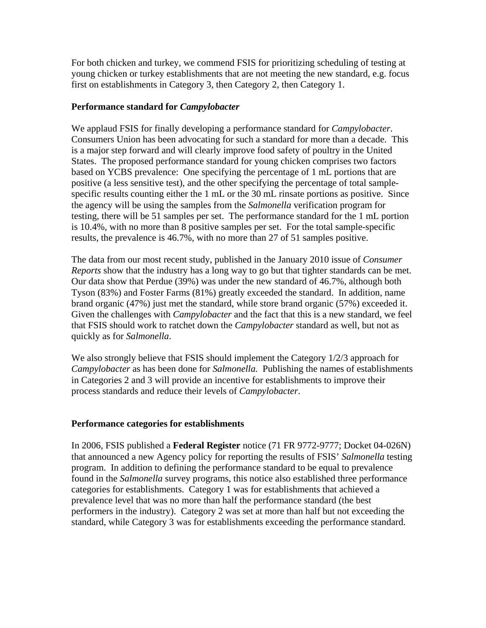For both chicken and turkey, we commend FSIS for prioritizing scheduling of testing at young chicken or turkey establishments that are not meeting the new standard, e.g. focus first on establishments in Category 3, then Category 2, then Category 1.

## **Performance standard for** *Campylobacter*

We applaud FSIS for finally developing a performance standard for *Campylobacter*. Consumers Union has been advocating for such a standard for more than a decade. This is a major step forward and will clearly improve food safety of poultry in the United States. The proposed performance standard for young chicken comprises two factors based on YCBS prevalence: One specifying the percentage of 1 mL portions that are positive (a less sensitive test), and the other specifying the percentage of total samplespecific results counting either the 1 mL or the 30 mL rinsate portions as positive. Since the agency will be using the samples from the *Salmonella* verification program for testing, there will be 51 samples per set. The performance standard for the 1 mL portion is 10.4%, with no more than 8 positive samples per set. For the total sample-specific results, the prevalence is 46.7%, with no more than 27 of 51 samples positive.

The data from our most recent study, published in the January 2010 issue of *Consumer Reports* show that the industry has a long way to go but that tighter standards can be met. Our data show that Perdue (39%) was under the new standard of 46.7%, although both Tyson (83%) and Foster Farms (81%) greatly exceeded the standard. In addition, name brand organic (47%) just met the standard, while store brand organic (57%) exceeded it. Given the challenges with *Campylobacter* and the fact that this is a new standard, we feel that FSIS should work to ratchet down the *Campylobacter* standard as well, but not as quickly as for *Salmonella*.

We also strongly believe that FSIS should implement the Category 1/2/3 approach for *Campylobacter* as has been done for *Salmonella.* Publishing the names of establishments in Categories 2 and 3 will provide an incentive for establishments to improve their process standards and reduce their levels of *Campylobacter*.

## **Performance categories for establishments**

In 2006, FSIS published a **Federal Register** notice (71 FR 9772-9777; Docket 04-026N) that announced a new Agency policy for reporting the results of FSIS' *Salmonella* testing program. In addition to defining the performance standard to be equal to prevalence found in the *Salmonella* survey programs, this notice also established three performance categories for establishments. Category 1 was for establishments that achieved a prevalence level that was no more than half the performance standard (the best performers in the industry). Category 2 was set at more than half but not exceeding the standard, while Category 3 was for establishments exceeding the performance standard.